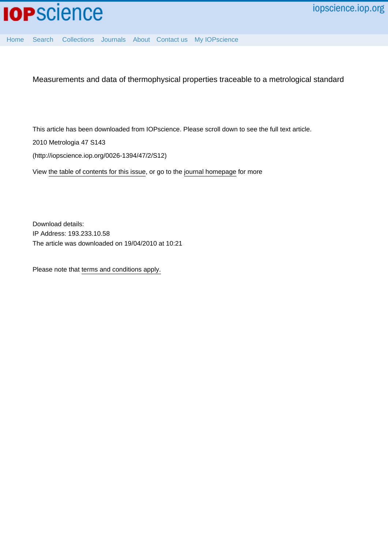

[Home](http://iopscience.iop.org/) [Search](http://iopscience.iop.org/search) [Collections](http://iopscience.iop.org/collections) [Journals](http://iopscience.iop.org/journals) [About](http://iopscience.iop.org/page/aboutioppublishing) [Contact us](http://iopscience.iop.org/contact) [My IOPscience](http://iopscience.iop.org/myiopscience)

Measurements and data of thermophysical properties traceable to a metrological standard

This article has been downloaded from IOPscience. Please scroll down to see the full text article.

2010 Metrologia 47 S143

(http://iopscience.iop.org/0026-1394/47/2/S12)

View [the table of contents for this issue](http://iopscience.iop.org/0026-1394/47/2), or go to the [journal homepage](http://iopscience.iop.org/0026-1394) for more

Download details: IP Address: 193.233.10.58 The article was downloaded on 19/04/2010 at 10:21

Please note that [terms and conditions apply.](http://iopscience.iop.org/page/terms)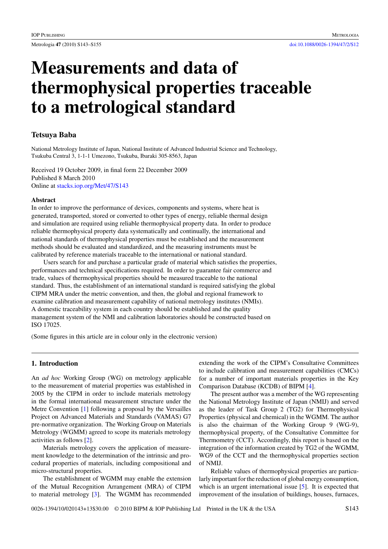# **Measurements and data of thermophysical properties traceable to a metrological standard**

# **Tetsuya Baba**

National Metrology Institute of Japan, National Institute of Advanced Industrial Science and Technology, Tsukuba Central 3, 1-1-1 Umezono, Tsukuba, Ibaraki 305-8563, Japan

Received 19 October 2009, in final form 22 December 2009 Published 8 March 2010 Online at [stacks.iop.org/Met/47/S143](http://stacks.iop.org/Met/47/S143)

# **Abstract**

In order to improve the performance of devices, components and systems, where heat is generated, transported, stored or converted to other types of energy, reliable thermal design and simulation are required using reliable thermophysical property data. In order to produce reliable thermophysical property data systematically and continually, the international and national standards of thermophysical properties must be established and the measurement methods should be evaluated and standardized, and the measuring instruments must be calibrated by reference materials traceable to the international or national standard.

Users search for and purchase a particular grade of material which satisfies the properties, performances and technical specifications required. In order to guarantee fair commerce and trade, values of thermophysical properties should be measured traceable to the national standard. Thus, the establishment of an international standard is required satisfying the global CIPM MRA under the metric convention, and then, the global and regional framework to examine calibration and measurement capability of national metrology institutes (NMIs). A domestic traceability system in each country should be established and the quality management system of the NMI and calibration laboratories should be constructed based on ISO 17025.

(Some figures in this article are in colour only in the electronic version)

# **1. Introduction**

An *ad hoc* Working Group (WG) on metrology applicable to the measurement of material properties was established in 2005 by the CIPM in order to include materials metrology in the formal international measurement structure under the Metre Convention [\[1\]](#page-12-0) following a proposal by the Versailles Project on Advanced Materials and Standards (VAMAS) G7 pre-normative organization. The Working Group on Materials Metrology (WGMM) agreed to scope its materials metrology activities as follows [\[2\]](#page-12-0).

Materials metrology covers the application of measurement knowledge to the determination of the intrinsic and procedural properties of materials, including compositional and micro-structural properties.

The establishment of WGMM may enable the extension of the Mutual Recognition Arrangement (MRA) of CIPM to material metrology [\[3\]](#page-12-0). The WGMM has recommended extending the work of the CIPM's Consultative Committees to include calibration and measurement capabilities (CMCs) for a number of important materials properties in the Key Comparison Database (KCDB) of BIPM [\[4\]](#page-12-0).

The present author was a member of the WG representing the National Metrology Institute of Japan (NMIJ) and served as the leader of Task Group 2 (TG2) for Thermophysical Properties (physical and chemical) in the WGMM. The author is also the chairman of the Working Group 9 (WG-9), thermophysical property, of the Consultative Committee for Thermometry (CCT). Accordingly, this report is based on the integration of the information created by TG2 of the WGMM, WG9 of the CCT and the thermophysical properties section of NMIJ.

Reliable values of thermophysical properties are particularly important for the reduction of global energy consumption, which is an urgent international issue [\[5\]](#page-12-0). It is expected that improvement of the insulation of buildings, houses, furnaces,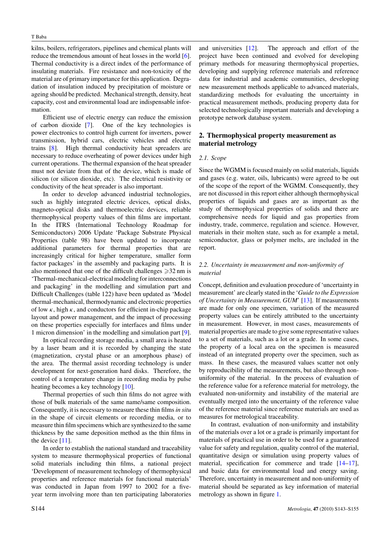kilns, boilers, refrigerators, pipelines and chemical plants will reduce the tremendous amount of heat losses in the world [\[6\]](#page-12-0). Thermal conductivity is a direct index of the performance of insulating materials. Fire resistance and non-toxicity of the material are of primary importance for this application. Degradation of insulation induced by precipitation of moisture or ageing should be predicted. Mechanical strength, density, heat capacity, cost and environmental load are indispensable information.

Efficient use of electric energy can reduce the emission of carbon dioxide [\[7\]](#page-12-0). One of the key technologies is power electronics to control high current for inverters, power transmission, hybrid cars, electric vehicles and electric trains [\[8\]](#page-12-0). High thermal conductivity heat spreaders are necessary to reduce overheating of power devices under high current operations. The thermal expansion of the heat spreader must not deviate from that of the device, which is made of silicon (or silicon dioxide, etc). The electrical resistivity or conductivity of the heat spreader is also important.

In order to develop advanced industrial technologies, such as highly integrated electric devices, optical disks, magneto-optical disks and thermoelectric devices, reliable thermophysical property values of thin films are important. In the ITRS (International Technology Roadmap for Semiconductors) 2006 Update 'Package Substrate Physical Properties (table 98) have been updated to incorporate additional parameters for thermal properties that are increasingly critical for higher temperature, smaller form factor packages' in the assembly and packaging parts. It is also mentioned that one of the difficult challenges  $\geq 32$  nm is 'Thermal-mechanical-electrical modeling for interconnections and packaging' in the modelling and simulation part and Difficult Challenges (table 122) have been updated as 'Model thermal-mechanical, thermodynamic and electronic properties of low *κ*, high *κ*, and conductors for efficient in-chip package layout and power management, and the impact of processing on these properties especially for interfaces and films under 1 micron dimension' in the modelling and simulation part [\[9\]](#page-12-0).

In optical recording storage media, a small area is heated by a laser beam and it is recorded by changing the state (magnetization, crystal phase or an amorphous phase) of the area. The thermal assist recording technology is under development for next-generation hard disks. Therefore, the control of a temperature change in recording media by pulse heating becomes a key technology [\[10\]](#page-12-0).

Thermal properties of such thin films do not agree with those of bulk materials of the same name/same composition. Consequently, it is necessary to measure these thin films*in situ* in the shape of circuit elements or recording media, or to measure thin film specimens which are synthesized to the same thickness by the same deposition method as the thin films in the device [\[11\]](#page-12-0).

In order to establish the national standard and traceability system to measure thermophysical properties of functional solid materials including thin films, a national project 'Development of measurement technology of thermophysical properties and reference materials for functional materials' was conducted in Japan from 1997 to 2002 for a fiveyear term involving more than ten participating laboratories

and universities [\[12\]](#page-12-0). The approach and effort of the project have been continued and evolved for developing primary methods for measuring thermophysical properties, developing and supplying reference materials and reference data for industrial and academic communities, developing new measurement methods applicable to advanced materials, standardizing methods for evaluating the uncertainty in practical measurement methods, producing property data for selected technologically important materials and developing a prototype network database system.

# **2. Thermophysical property measurement as material metrology**

# *2.1. Scope*

Since the WGMM is focused mainly on solid materials, liquids and gases (e.g. water, oils, lubricants) were agreed to be out of the scope of the report of the WGMM. Consequently, they are not discussed in this report either although thermophysical properties of liquids and gases are as important as the study of thermophysical properties of solids and there are comprehensive needs for liquid and gas properties from industry, trade, commerce, regulation and science. However, materials in their molten state, such as for example a metal, semiconductor, glass or polymer melts, are included in the report.

# *2.2. Uncertainty in measurement and non-uniformity of material*

Concept, definition and evaluation procedure of 'uncertainty in measurement' are clearly stated in the '*Guide to the Expression of Uncertainty in Measurement, GUM*' [\[13\]](#page-12-0). If measurements are made for only one specimen, variation of the measured property values can be entirely attributed to the uncertainty in measurement. However, in most cases, measurements of material properties are made to give some representative values to a set of materials, such as a lot or a grade. In some cases, the property of a local area on the specimen is measured instead of an integrated property over the specimen, such as mass. In these cases, the measured values scatter not only by reproducibility of the measurements, but also through nonuniformity of the material. In the process of evaluation of the reference value for a reference material for metrology, the evaluated non-uniformity and instability of the material are eventually merged into the uncertainty of the reference value of the reference material since reference materials are used as measures for metrological traceability.

In contrast, evaluation of non-uniformity and instability of the materials over a lot or a grade is primarily important for materials of practical use in order to be used for a guaranteed value for safety and regulation, quality control of the material, quantitative design or simulation using property values of material, specification for commerce and trade [\[14](#page-12-0)[–17\]](#page-13-0), and basic data for environmental load and energy saving. Therefore, uncertainty in measurement and non-uniformity of material should be separated as key information of material metrology as shown in figure [1.](#page-3-0)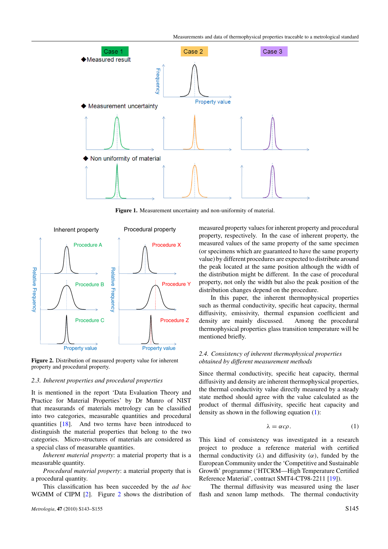<span id="page-3-0"></span>

**Figure 1.** Measurement uncertainty and non-uniformity of material.



**Figure 2.** Distribution of measured property value for inherent property and procedural property.

#### *2.3. Inherent properties and procedural properties*

It is mentioned in the report 'Data Evaluation Theory and Practice for Material Properties' by Dr Munro of NIST that measurands of materials metrology can be classified into two categories, measurable quantities and procedural quantities [\[18\]](#page-13-0). And two terms have been introduced to distinguish the material properties that belong to the two categories. Micro-structures of materials are considered as a special class of measurable quantities.

*Inherent material property*: a material property that is a measurable quantity.

*Procedural material property*: a material property that is a procedural quantity.

This classification has been succeeded by the *ad hoc* WGMM of CIPM [\[2\]](#page-12-0). Figure 2 shows the distribution of measured property values for inherent property and procedural property, respectively. In the case of inherent property, the measured values of the same property of the same specimen (or specimens which are guaranteed to have the same property value) by different procedures are expected to distribute around the peak located at the same position although the width of the distribution might be different. In the case of procedural property, not only the width but also the peak position of the distribution changes depend on the procedure.

In this paper, the inherent thermophysical properties such as thermal conductivity, specific heat capacity, thermal diffusivity, emissivity, thermal expansion coefficient and density are mainly discussed. Among the procedural thermophysical properties glass transition temperature will be mentioned briefly.

# *2.4. Consistency of inherent thermophysical properties obtained by different measurement methods*

Since thermal conductivity, specific heat capacity, thermal diffusivity and density are inherent thermophysical properties, the thermal conductivity value directly measured by a steady state method should agree with the value calculated as the product of thermal diffusivity, specific heat capacity and density as shown in the following equation (1):

$$
\lambda = \alpha c \rho. \tag{1}
$$

This kind of consistency was investigated in a research project to produce a reference material with certified thermal conductivity  $(\lambda)$  and diffusivity  $(\alpha)$ , funded by the European Community under the 'Competitive and Sustainable Growth' programme ('HTCRM—High Temperature Certified Reference Material', contract SMT4-CT98-2211 [\[19\]](#page-13-0)).

The thermal diffusivity was measured using the laser flash and xenon lamp methods. The thermal conductivity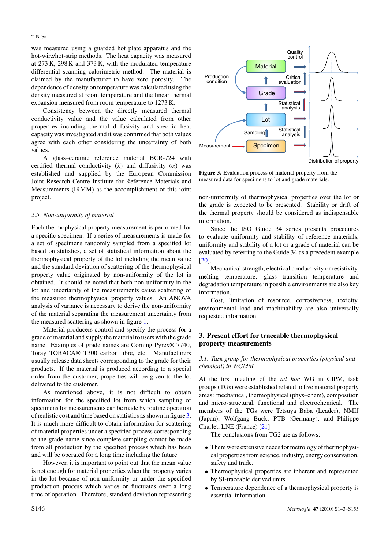<span id="page-4-0"></span>was measured using a guarded hot plate apparatus and the hot-wire/hot-strip methods. The heat capacity was measured at 273 K, 298 K and 373 K, with the modulated temperature differential scanning calorimetric method. The material is claimed by the manufacturer to have zero porosity. The dependence of density on temperature was calculated using the density measured at room temperature and the linear thermal expansion measured from room temperature to 1273 K.

Consistency between the directly measured thermal conductivity value and the value calculated from other properties including thermal diffusivity and specific heat capacity was investigated and it was confirmed that both values agree with each other considering the uncertainty of both values.

A glass–ceramic reference material BCR-724 with certified thermal conductivity (*λ)* and diffusivity (*α)* was established and supplied by the European Commission Joint Research Centre Institute for Reference Materials and Measurements (IRMM) as the accomplishment of this joint project.

#### *2.5. Non-uniformity of material*

Each thermophysical property measurement is performed for a specific specimen. If a series of measurements is made for a set of specimens randomly sampled from a specified lot based on statistics, a set of statistical information about the thermophysical property of the lot including the mean value and the standard deviation of scattering of the thermophysical property value originated by non-uniformity of the lot is obtained. It should be noted that both non-uniformity in the lot and uncertainty of the measurements cause scattering of the measured thermophysical property values. An ANOVA analysis of variance is necessary to derive the non-uniformity of the material separating the measurement uncertainty from the measured scattering as shown in figure [1.](#page-3-0)

Material producers control and specify the process for a grade of material and supply the material to users with the grade name. Examples of grade names are Corning Pyrex® 7740, Toray TORACA® T300 carbon fibre, etc. Manufacturers usually release data sheets corresponding to the grade for their products. If the material is produced according to a special order from the customer, properties will be given to the lot delivered to the customer.

As mentioned above, it is not difficult to obtain information for the specified lot from which sampling of specimens for measurements can be made by routine operation of realistic cost and time based on statistics as shown in figure 3. It is much more difficult to obtain information for scattering of material properties under a specified process corresponding to the grade name since complete sampling cannot be made from all production by the specified process which has been and will be operated for a long time including the future.

However, it is important to point out that the mean value is not enough for material properties when the property varies in the lot because of non-uniformity or under the specified production process which varies or fluctuates over a long time of operation. Therefore, standard deviation representing



**Figure 3.** Evaluation process of material property from the measured data for specimens to lot and grade materials.

non-uniformity of thermophysical properties over the lot or the grade is expected to be presented. Stability or drift of the thermal property should be considered as indispensable information.

Since the ISO Guide 34 series presents procedures to evaluate uniformity and stability of reference materials, uniformity and stability of a lot or a grade of material can be evaluated by referring to the Guide 34 as a precedent example [\[20\]](#page-13-0).

Mechanical strength, electrical conductivity or resistivity, melting temperature, glass transition temperature and degradation temperature in possible environments are also key information.

Cost, limitation of resource, corrosiveness, toxicity, environmental load and machinability are also universally requested information.

# **3. Present effort for traceable thermophysical property measurements**

#### *3.1. Task group for thermophysical properties (physical and chemical) in WGMM*

At the first meeting of the *ad hoc* WG in CIPM, task groups (TGs) were established related to five material property areas: mechanical, thermophysical (phys–chem), composition and micro-structural, functional and electrochemical. The members of the TGs were Tetsuya Baba (Leader), NMIJ (Japan), Wolfgang Buck, PTB (Germany), and Philippe Charlet, LNE (France) [\[21\]](#page-13-0).

The conclusions from TG2 are as follows:

- There were extensive needs for metrology of thermophysical properties from science, industry, energy conservation, safety and trade.
- Thermophysical properties are inherent and represented by SI-traceable derived units.
- Temperature dependence of a thermophysical property is essential information.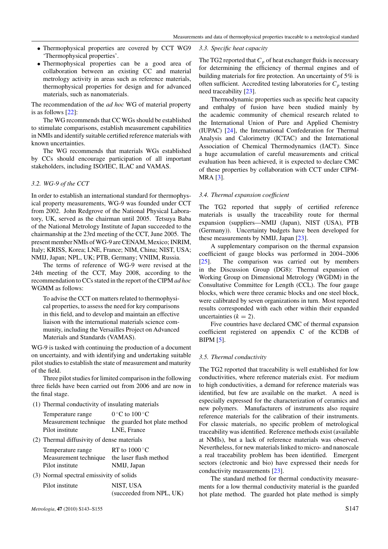*3.3. Specific heat capacity*

- Thermophysical properties are covered by CCT WG9 'Thermophysical properties'.
- Thermophysical properties can be a good area of collaboration between an existing CC and material metrology activity in areas such as reference materials, thermophysical properties for design and for advanced materials, such as nanomaterials.

The recommendation of the *ad hoc* WG of material property is as follows [\[22\]](#page-13-0):

The WG recommends that CC WGs should be established to stimulate comparisons, establish measurement capabilities in NMIs and identify suitable certified reference materials with known uncertainties.

The WG recommends that materials WGs established by CCs should encourage participation of all important stakeholders, including ISO/IEC, ILAC and VAMAS.

# *3.2. WG-9 of the CCT*

In order to establish an international standard for thermophysical property measurements, WG-9 was founded under CCT from 2002. John Redgrove of the National Physical Laboratory, UK, served as the chairman until 2005. Tetsuya Baba of the National Metrology Institute of Japan succeeded to the chairmanship at the 23rd meeting of the CCT, June 2005. The present member NMIs of WG-9 are CENAM, Mexico; INRIM, Italy; KRISS, Korea; LNE, France; NIM, China; NIST, USA; NMIJ, Japan; NPL, UK; PTB, Germany; VNIIM, Russia.

The terms of reference of WG-9 were revised at the 24th meeting of the CCT, May 2008, according to the recommendation to CCs stated in the report of the CIPM *ad hoc* WGMM as follows:

To advise the CCT on matters related to thermophysical properties, to assess the need for key comparisons in this field, and to develop and maintain an effective liaison with the international materials science community, including the Versailles Project on Advanced Materials and Standards (VAMAS).

WG-9 is tasked with continuing the production of a document on uncertainty, and with identifying and undertaking suitable pilot studies to establish the state of measurement and maturity of the field.

Three pilot studies for limited comparison in the following three fields have been carried out from 2006 and are now in the final stage.

(1) Thermal conductivity of insulating materials

| Temperature range | $0^{\circ}$ C to $100^{\circ}$ C                   |
|-------------------|----------------------------------------------------|
|                   | Measurement technique the guarded hot plate method |
| Pilot institute   | LNE, France                                        |

(2) Thermal diffusivity of dense materials

| Temperature range     | RT to $1000^{\circ}$ C |
|-----------------------|------------------------|
| Measurement technique | the laser flash method |
| Pilot institute       | NMIJ, Japan            |

(3) Normal spectral emissivity of solids

| Pilot institute | NIST, USA                |
|-----------------|--------------------------|
|                 | (succeeded from NPL, UK) |

*Metrologia*, **47** (2010) S143–S155 S147

The TG2 reported that  $C_p$  of heat exchanger fluids is necessary for determining the efficiency of thermal engines and of building materials for fire protection. An uncertainty of 5% is often sufficient. Accredited testing laboratories for  $C_p$  testing need traceability [\[23\]](#page-13-0).

Thermodynamic properties such as specific heat capacity and enthalpy of fusion have been studied mainly by the academic community of chemical research related to the International Union of Pure and Applied Chemistry (IUPAC) [\[24\]](#page-13-0), the International Confederation for Thermal Analysis and Calorimetry (ICTAC) and the International Association of Chemical Thermodynamics (IACT). Since a huge accumulation of careful measurements and critical evaluation has been achieved, it is expected to declare CMC of these properties by collaboration with CCT under CIPM-MRA [\[3\]](#page-12-0).

#### *3.4. Thermal expansion coefficient*

The TG2 reported that supply of certified reference materials is usually the traceability route for thermal expansion (suppliers—NMIJ (Japan), NIST (USA), PTB (Germany)). Uncertainty budgets have been developed for these measurements by NMIJ, Japan [\[23\]](#page-13-0).

A supplementary comparison on the thermal expansion coefficient of gauge blocks was performed in 2004–2006 [\[25\]](#page-13-0). The comparison was carried out by members in the Discussion Group (DG8): Thermal expansion of Working Group on Dimensional Metrology (WGDM) in the Consultative Committee for Length (CCL). The four gauge blocks, which were three ceramic blocks and one steel block, were calibrated by seven organizations in turn. Most reported results corresponded with each other within their expanded uncertainties  $(k = 2)$ .

Five countries have declared CMC of thermal expansion coefficient registered on appendix C of the KCDB of BIPM [\[5\]](#page-12-0).

#### *3.5. Thermal conductivity*

The TG2 reported that traceability is well established for low conductivities, where reference materials exist. For medium to high conductivities, a demand for reference materials was identified, but few are available on the market. A need is especially expressed for the characterization of ceramics and new polymers. Manufacturers of instruments also require reference materials for the calibration of their instruments. For classic materials, no specific problem of metrological traceability was identified. Reference methods exist (available at NMIs), but a lack of reference materials was observed. Nevertheless, for new materials linked to micro- and nanoscale a real traceability problem has been identified. Emergent sectors (electronic and bio) have expressed their needs for conductivity measurements [\[23\]](#page-13-0).

The standard method for thermal conductivity measurements for a low thermal conductivity material is the guarded hot plate method. The guarded hot plate method is simply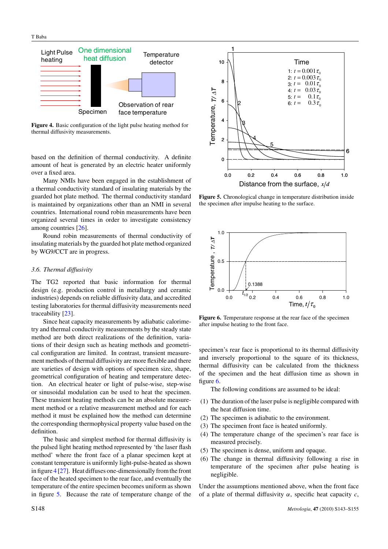<span id="page-6-0"></span>

**Figure 4.** Basic configuration of the light pulse heating method for thermal diffusivity measurements.

based on the definition of thermal conductivity. A definite amount of heat is generated by an electric heater uniformly over a fixed area.

Many NMIs have been engaged in the establishment of a thermal conductivity standard of insulating materials by the guarded hot plate method. The thermal conductivity standard is maintained by organizations other than an NMI in several countries. International round robin measurements have been organized several times in order to investigate consistency among countries [\[26\]](#page-13-0).

Round robin measurements of thermal conductivity of insulating materials by the guarded hot plate method organized by WG9/CCT are in progress.

#### *3.6. Thermal diffusivity*

The TG2 reported that basic information for thermal design (e.g. production control in metallurgy and ceramic industries) depends on reliable diffusivity data, and accredited testing laboratories for thermal diffusivity measurements need traceability [\[23\]](#page-13-0).

Since heat capacity measurements by adiabatic calorimetry and thermal conductivity measurements by the steady state method are both direct realizations of the definition, variations of their design such as heating methods and geometrical configuration are limited. In contrast, transient measurement methods of thermal diffusivity are more flexible and there are varieties of design with options of specimen size, shape, geometrical configuration of heating and temperature detection. An electrical heater or light of pulse-wise, step-wise or sinusoidal modulation can be used to heat the specimen. These transient heating methods can be an absolute measurement method or a relative measurement method and for each method it must be explained how the method can determine the corresponding thermophysical property value based on the definition.

The basic and simplest method for thermal diffusivity is the pulsed light heating method represented by 'the laser flash method' where the front face of a planar specimen kept at constant temperature is uniformly light-pulse-heated as shown in figure 4 [\[27\]](#page-13-0). Heat diffuses one-dimensionally from the front face of the heated specimen to the rear face, and eventually the temperature of the entire specimen becomes uniform as shown in figure 5. Because the rate of temperature change of the



**Figure 5.** Chronological change in temperature distribution inside the specimen after impulse heating to the surface.



**Figure 6.** Temperature response at the rear face of the specimen after impulse heating to the front face.

specimen's rear face is proportional to its thermal diffusivity and inversely proportional to the square of its thickness, thermal diffusivity can be calculated from the thickness of the specimen and the heat diffusion time as shown in figure 6.

The following conditions are assumed to be ideal:

- (1) The duration of the laser pulse is negligible compared with the heat diffusion time.
- (2) The specimen is adiabatic to the environment.
- (3) The specimen front face is heated uniformly.
- (4) The temperature change of the specimen's rear face is measured precisely.
- (5) The specimen is dense, uniform and opaque.
- (6) The change in thermal diffusivity following a rise in temperature of the specimen after pulse heating is negligible.

Under the assumptions mentioned above, when the front face of a plate of thermal diffusivity  $\alpha$ , specific heat capacity  $c$ ,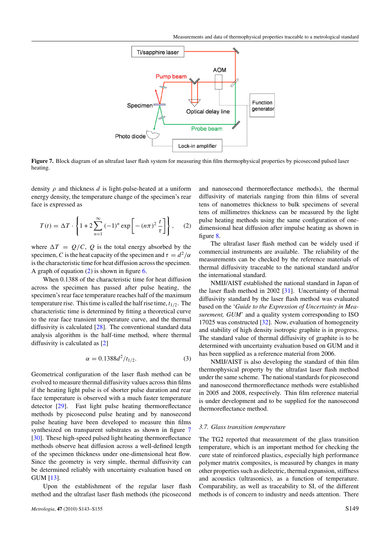

**Figure 7.** Block diagram of an ultrafast laser flash system for measuring thin film thermophysical properties by picosecond pulsed laser heating.

density *ρ* and thickness *d* is light-pulse-heated at a uniform energy density, the temperature change of the specimen's rear face is expressed as

$$
T(t) = \Delta T \cdot \left\{ 1 + 2 \sum_{n=1}^{\infty} (-1)^n \exp\left[ - (n\pi)^2 \frac{t}{\tau} \right] \right\}, \quad (2)
$$

where  $\Delta T = Q/C$ , Q is the total energy absorbed by the specimen, *C* is the heat capacity of the specimen and  $\tau = d^2/\alpha$ is the characteristic time for heat diffusion across the specimen. A graph of equation (2) is shown in figure [6.](#page-6-0)

When 0.1388 of the characteristic time for heat diffusion across the specimen has passed after pulse heating, the specimen's rear face temperature reaches half of the maximum temperature rise. This time is called the half rise time,  $t_{1/2}$ . The characteristic time is determined by fitting a theoretical curve to the rear face transient temperature curve, and the thermal diffusivity is calculated [\[28\]](#page-13-0). The conventional standard data analysis algorithm is the half-time method, where thermal diffusivity is calculated as [\[2\]](#page-12-0)

$$
\alpha = 0.1388d^2/t_{1/2}.\tag{3}
$$

Geometrical configuration of the laser flash method can be evolved to measure thermal diffusivity values across thin films if the heating light pulse is of shorter pulse duration and rear face temperature is observed with a much faster temperature detector [\[29\]](#page-13-0). Fast light pulse heating thermoreflectance methods by picosecond pulse heating and by nanosecond pulse heating have been developed to measure thin films synthesized on transparent substrates as shown in figure 7 [\[30\]](#page-13-0). These high-speed pulsed light heating thermoreflectance methods observe heat diffusion across a well-defined length of the specimen thickness under one-dimensional heat flow. Since the geometry is very simple, thermal diffusivity can be determined reliably with uncertainty evaluation based on GUM [\[13\]](#page-12-0).

Upon the establishment of the regular laser flash method and the ultrafast laser flash methods (the picosecond

and nanosecond thermoreflectance methods), the thermal diffusivity of materials ranging from thin films of several tens of nanometres thickness to bulk specimens of several tens of millimetres thickness can be measured by the light pulse heating methods using the same configuration of onedimensional heat diffusion after impulse heating as shown in figure [8.](#page-8-0)

The ultrafast laser flash method can be widely used if commercial instruments are available. The reliability of the measurements can be checked by the reference materials of thermal diffusivity traceable to the national standard and/or the international standard.

NMIJ/AIST established the national standard in Japan of the laser flash method in 2002 [\[31\]](#page-13-0). Uncertainty of thermal diffusivity standard by the laser flash method was evaluated based on the '*Guide to the Expression of Uncertainty in Measurement, GUM*' and a quality system corresponding to ISO 17025 was constructed [\[32\]](#page-13-0). Now, evaluation of homogeneity and stability of high density isotropic graphite is in progress. The standard value of thermal diffusivity of graphite is to be determined with uncertainty evaluation based on GUM and it has been supplied as a reference material from 2006.

NMIJ/AIST is also developing the standard of thin film thermophysical property by the ultrafast laser flash method under the same scheme. The national standards for picosecond and nanosecond thermoreflectance methods were established in 2005 and 2008, respectively. Thin film reference material is under development and to be supplied for the nanosecond thermoreflectance method.

#### *3.7. Glass transition temperature*

The TG2 reported that measurement of the glass transition temperature, which is an important method for checking the cure state of reinforced plastics, especially high performance polymer matrix composites, is measured by changes in many other properties such as dielectric, thermal expansion, stiffness and acoustics (ultrasonics), as a function of temperature. Comparability, as well as traceability to SI, of the different methods is of concern to industry and needs attention. There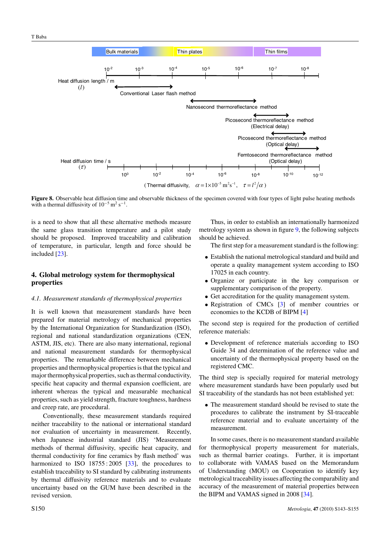<span id="page-8-0"></span>

**Figure 8.** Observable heat diffusion time and observable thickness of the specimen covered with four types of light pulse heating methods with a thermal diffusivity of  $10^{-5}$  m<sup>2</sup> s<sup>-1</sup>.

is a need to show that all these alternative methods measure the same glass transition temperature and a pilot study should be proposed. Improved traceability and calibration of temperature, in particular, length and force should be included [\[23\]](#page-13-0).

# **4. Global metrology system for thermophysical properties**

#### *4.1. Measurement standards of thermophysical properties*

It is well known that measurement standards have been prepared for material metrology of mechanical properties by the International Organization for Standardization (ISO), regional and national standardization organizations (CEN, ASTM, JIS, etc). There are also many international, regional and national measurement standards for thermophysical properties. The remarkable difference between mechanical properties and thermophysical properties is that the typical and major thermophysical properties, such as thermal conductivity, specific heat capacity and thermal expansion coefficient, are inherent whereas the typical and measurable mechanical properties, such as yield strength, fracture toughness, hardness and creep rate, are procedural.

Conventionally, these measurement standards required neither traceability to the national or international standard nor evaluation of uncertainty in measurement. Recently, when Japanese industrial standard (JIS) 'Measurement methods of thermal diffusivity, specific heat capacity, and thermal conductivity for fine ceramics by flash method' was harmonized to ISO 18755:2005 [\[33\]](#page-13-0), the procedures to establish traceability to SI standard by calibrating instruments by thermal diffusivity reference materials and to evaluate uncertainty based on the GUM have been described in the revised version.

Thus, in order to establish an internationally harmonized metrology system as shown in figure [9,](#page-9-0) the following subjects should be achieved.

The first step for a measurement standard is the following:

- Establish the national metrological standard and build and operate a quality management system according to ISO 17025 in each country.
- Organize or participate in the key comparison or supplementary comparison of the property.
- Get accreditation for the quality management system.
- Registration of CMCs [\[3\]](#page-12-0) of member countries or economies to the KCDB of BIPM [\[4\]](#page-12-0)

The second step is required for the production of certified reference materials:

• Development of reference materials according to ISO Guide 34 and determination of the reference value and uncertainty of the thermophysical property based on the registered CMC.

The third step is specially required for material metrology where measurement standards have been popularly used but SI traceability of the standards has not been established yet:

• The measurement standard should be revised to state the procedures to calibrate the instrument by SI-traceable reference material and to evaluate uncertainty of the measurement.

In some cases, there is no measurement standard available for thermophysical property measurement for materials, such as thermal barrier coatings. Further, it is important to collaborate with VAMAS based on the Memorandum of Understanding (MOU) on Cooperation to identify key metrological traceability issues affecting the comparability and accuracy of the measurement of material properties between the BIPM and VAMAS signed in 2008 [\[34\]](#page-13-0).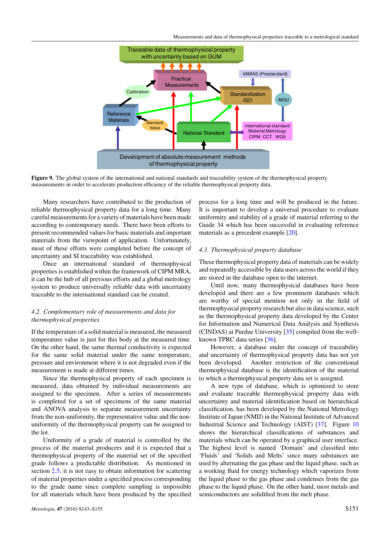<span id="page-9-0"></span>

**Figure 9.** The global system of the international and national standards and traceability system of the thermophysical property measurements in order to accelerate production efficiency of the reliable thermophysical property data.

Many researchers have contributed to the production of reliable thermophysical property data for a long time. Many careful measurements for a variety of materials have been made according to contemporary needs. There have been efforts to present recommended values for basic materials and important materials from the viewpoint of application. Unfortunately, most of these efforts were completed before the concept of uncertainty and SI traceability was established.

Once an international standard of thermophysical properties is established within the framework of CIPM MRA, it can be the hub of all previous efforts and a global metrology system to produce universally reliable data with uncertainty traceable to the international standard can be created.

# *4.2. Complementary role of measurements and data for thermophysical properties*

If the temperature of a solid material is measured, the measured temperature value is just for this body at the measured time. On the other hand, the same thermal conductivity is expected for the same solid material under the same temperature, pressure and environment where it is not degraded even if the measurement is made at different times.

Since the thermophysical property of each specimen is measured, data obtained by individual measurements are assigned to the specimen. After a series of measurements is completed for a set of specimens of the same material and ANOVA analysis to separate measurement uncertainty from the non-uniformity, the representative value and the nonuniformity of the thermophysical property can be assigned to the lot.

Uniformity of a grade of material is controlled by the process of the material producers and it is expected that a thermophysical property of the material set of the specified grade follows a predictable distribution. As mentioned in section [2.5,](#page-4-0) it is not easy to obtain information for scattering of material properties under a specified process corresponding to the grade name since complete sampling is impossible for all materials which have been produced by the specified process for a long time and will be produced in the future. It is important to develop a universal procedure to evaluate uniformity and stability of a grade of material referring to the Guide 34 which has been successful in evaluating reference materials as a precedent example [\[20\]](#page-13-0).

#### *4.3. Thermophysical property database*

These thermophysical property data of materials can be widely and repeatedly accessible by data users across the world if they are stored in the database open to the internet.

Until now, many thermophysical databases have been developed and there are a few prominent databases which are worthy of special mention not only in the field of thermophysical property research but also in data science, such as the thermophysical property data developed by the Center for Information and Numerical Data Analysis and Synthesis (CINDAS) at Purdue University [\[35\]](#page-13-0) compiled from the wellknown TPRC data series [\[36\]](#page-13-0).

However, a database under the concept of traceability and uncertainty of thermophysical property data has not yet been developed. Another restriction of the conventional thermophysical database is the identification of the material to which a thermophysical property data set is assigned.

A new type of database, which is optimized to store and evaluate traceable thermophysical property data with uncertainty and material identification based on hierarchical classification, has been developed by the National Metrology Institute of Japan (NMIJ) in the National Institute of Advanced Industrial Science and Technology (AIST) [\[37\]](#page-13-0). Figure [10](#page-10-0) shows the hierarchical classifications of substances and materials which can be operated by a graphical user interface. The highest level is named 'Domain' and classified into 'Fluids' and 'Solids and Melts' since many substances are used by alternating the gas phase and the liquid phase, such as a working fluid for energy technology which vaporizes from the liquid phase to the gas phase and condenses from the gas phase to the liquid phase. On the other hand, most metals and semiconductors are solidified from the melt phase.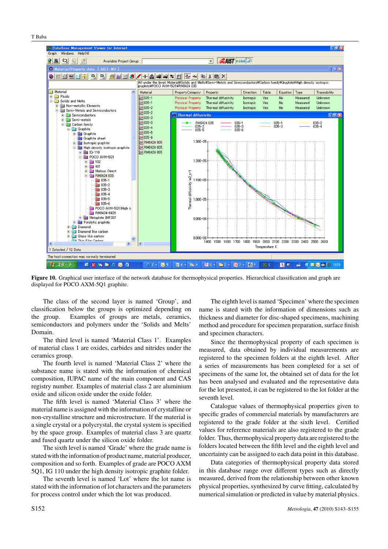<span id="page-10-0"></span>T Baba



**Figure 10.** Graphical user interface of the network database for thermophysical properties. Hierarchical classification and graph are displayed for POCO AXM-5Q1 graphite.

The class of the second layer is named 'Group', and classification below the groups is optimized depending on the group. Examples of groups are metals, ceramics, semiconductors and polymers under the 'Solids and Melts' Domain.

The third level is named 'Material Class 1'. Examples of material class 1 are oxides, carbides and nitrides under the ceramics group.

The fourth level is named 'Material Class 2' where the substance name is stated with the information of chemical composition, IUPAC name of the main component and CAS registry number. Examples of material class 2 are aluminium oxide and silicon oxide under the oxide folder.

The fifth level is named 'Material Class 3' where the material name is assigned with the information of crystalline or non-crystalline structure and microstructure. If the material is a single crystal or a polycrystal, the crystal system is specified by the space group. Examples of material class 3 are quartz and fused quartz under the silicon oxide folder.

The sixth level is named 'Grade' where the grade name is stated with the information of product name, material producer, composition and so forth. Examples of grade are POCO AXM 5Q1, IG 110 under the high density isotropic graphite folder.

The seventh level is named 'Lot' where the lot name is stated with the information of lot characters and the parameters for process control under which the lot was produced.

The eighth level is named 'Specimen' where the specimen name is stated with the information of dimensions such as thickness and diameter for disc-shaped specimens, machining method and procedure for specimen preparation, surface finish and specimen characters.

Since the thermophysical property of each specimen is measured, data obtained by individual measurements are registered to the specimen folders at the eighth level. After a series of measurements has been completed for a set of specimens of the same lot, the obtained set of data for the lot has been analysed and evaluated and the representative data for the lot presented, it can be registered to the lot folder at the seventh level.

Catalogue values of thermophysical properties given to specific grades of commercial materials by manufacturers are registered to the grade folder at the sixth level. Certified values for reference materials are also registered to the grade folder. Thus, thermophysical property data are registered to the folders located between the fifth level and the eighth level and uncertainty can be assigned to each data point in this database.

Data categories of thermophysical property data stored in this database range over different types such as directly measured, derived from the relationship between other known physical properties, synthesized by curve fitting, calculated by numerical simulation or predicted in value by material physics.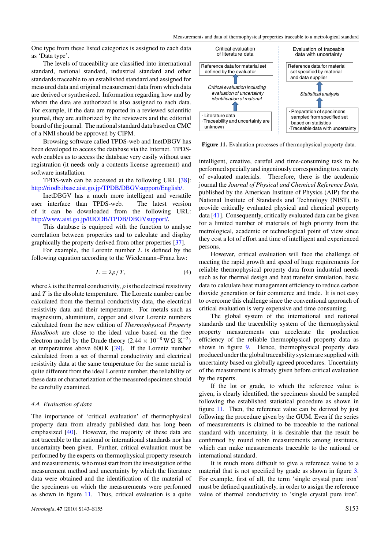One type from these listed categories is assigned to each data as 'Data type'.

The levels of traceability are classified into international standard, national standard, industrial standard and other standards traceable to an established standard and assigned for measured data and original measurement data from which data are derived or synthesized. Information regarding how and by whom the data are authorized is also assigned to each data. For example, if the data are reported in a reviewed scientific journal, they are authorized by the reviewers and the editorial board of the journal. The national standard data based on CMC of a NMI should be approved by CIPM.

Browsing software called TPDS-web and InetDBGV has been developed to access the database via the Internet. TPDSweb enables us to access the database very easily without user registration (it needs only a contents license agreement) and software installation.

TPDS-web can be accessed at the following URL [\[38\]](#page-13-0): [http://riodb.ibase.aist.go.jp/TPDB/DBGVsupport/English/.](http://riodb.ibase.aist.go.jp/TPDB/DBGVsupport/English/)

InetDBGV has a much more intelligent and versatile user interface than TPDS-web. The latest version of it can be downloaded from the following URL: [http://www.aist.go.jp/RIODB/TPDB/DBGVsupport/.](http://www.aist.go.jp/RIODB/TPDB/DBGVsupport/)

This database is equipped with the function to analyse correlation between properties and to calculate and display graphically the property derived from other properties [\[37\]](#page-13-0).

For example, the Lorentz number *L* is defined by the following equation according to the Wiedemann–Franz law:

$$
L = \lambda \rho / T,\tag{4}
$$

where  $\lambda$  is the thermal conductivity,  $\rho$  is the electrical resistivity and *T* is the absolute temperature. The Lorentz number can be calculated from the thermal conductivity data, the electrical resistivity data and their temperature. For metals such as magnesium, aluminium, copper and silver Lorentz numbers calculated from the new edition of *Thermophysical Property Handbook* are close to the ideal value based on the free electron model by the Drude theory  $(2.44 \times 10^{-8} \,\text{W} \,\Omega \,\text{K}^{-2})$ at temperatures above 600 K [\[39\]](#page-13-0). If the Lorentz number calculated from a set of thermal conductivity and electrical resistivity data at the same temperature for the same metal is quite different from the ideal Lorentz number, the reliability of these data or characterization of the measured specimen should be carefully examined.

#### *4.4. Evaluation of data*

The importance of 'critical evaluation' of thermophysical property data from already published data has long been emphasized [\[40\]](#page-13-0). However, the majority of these data are not traceable to the national or international standards nor has uncertainty been given. Further, critical evaluation must be performed by the experts on thermophysical property research and measurements, who must start from the investigation of the measurement method and uncertainty by which the literature data were obtained and the identification of the material of the specimens on which the measurements were performed as shown in figure 11. Thus, critical evaluation is a quite



**Figure 11.** Evaluation processes of thermophysical property data.

intelligent, creative, careful and time-consuming task to be performed specially and ingeniously corresponding to a variety of evaluated materials. Therefore, there is the academic journal the *Journal of Physical and Chemical Reference Data*, published by the American Institute of Physics (AIP) for the National Institute of Standards and Technology (NIST), to provide critically evaluated physical and chemical property data [\[41\]](#page-13-0). Consequently, critically evaluated data can be given for a limited number of materials of high priority from the metrological, academic or technological point of view since they cost a lot of effort and time of intelligent and experienced persons.

However, critical evaluation will face the challenge of meeting the rapid growth and speed of huge requirements for reliable thermophysical property data from industrial needs such as for thermal design and heat transfer simulation, basic data to calculate heat management efficiency to reduce carbon dioxide generation or fair commerce and trade. It is not easy to overcome this challenge since the conventional approach of critical evaluation is very expensive and time consuming.

The global system of the international and national standards and the traceability system of the thermophysical property measurements can accelerate the production efficiency of the reliable thermophysical property data as shown in figure [9.](#page-9-0) Hence, thermophysical property data produced under the global traceability system are supplied with uncertainty based on globally agreed procedures. Uncertainty of the measurement is already given before critical evaluation by the experts.

If the lot or grade, to which the reference value is given, is clearly identified, the specimens should be sampled following the established statistical procedure as shown in figure 11. Then, the reference value can be derived by just following the procedure given by the GUM. Even if the series of measurements is claimed to be traceable to the national standard with uncertainty, it is desirable that the result be confirmed by round robin measurements among institutes, which can make measurements traceable to the national or international standard.

It is much more difficult to give a reference value to a material that is not specified by grade as shown in figure [3.](#page-4-0) For example, first of all, the term 'single crystal pure iron' must be defined quantitatively, in order to assign the reference value of thermal conductivity to 'single crystal pure iron'.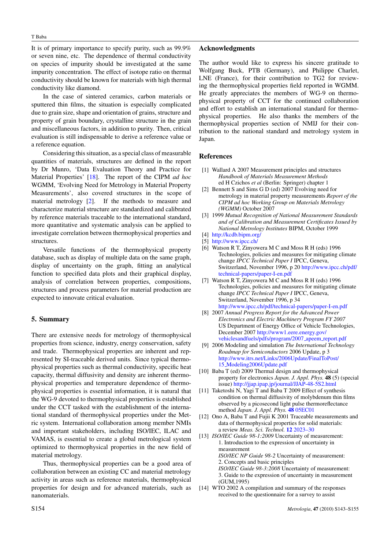<span id="page-12-0"></span>It is of primary importance to specify purity, such as 99.9% or seven nine, etc. The dependence of thermal conductivity on species of impurity should be investigated at the same impurity concentration. The effect of isotope ratio on thermal conductivity should be known for materials with high thermal conductivity like diamond.

In the case of sintered ceramics, carbon materials or sputtered thin films, the situation is especially complicated due to grain size, shape and orientation of grains, structure and property of grain boundary, crystalline structure in the grain and miscellaneous factors, in addition to purity. Then, critical evaluation is still indispensable to derive a reference value or a reference equation.

Considering this situation, as a special class of measurable quantities of materials, structures are defined in the report by Dr Munro, 'Data Evaluation Theory and Practice for Material Properties' [\[18\]](#page-13-0). The report of the CIPM *ad hoc* WGMM, 'Evolving Need for Metrology in Material Property Measurements', also covered structures in the scope of material metrology [2]. If the methods to measure and characterize material structure are standardized and calibrated by reference materials traceable to the international standard, more quantitative and systematic analysis can be applied to investigate correlation between thermophysical properties and structures.

Versatile functions of the thermophysical property database, such as display of multiple data on the same graph, display of uncertainty on the graph, fitting an analytical function to specified data plots and their graphical display, analysis of correlation between properties, compositions, structures and process parameters for material production are expected to innovate critical evaluation.

# **5. Summary**

There are extensive needs for metrology of thermophysical properties from science, industry, energy conservation, safety and trade. Thermophysical properties are inherent and represented by SI-traceable derived units. Since typical thermophysical properties such as thermal conductivity, specific heat capacity, thermal diffusivity and density are inherent thermophysical properties and temperature dependence of thermophysical properties is essential information, it is natural that the WG-9 devoted to thermophysical properties is established under the CCT tasked with the establishment of the international standard of thermophysical properties under the Metric system. International collaboration among member NMIs and important stakeholders, including ISO/IEC, ILAC and VAMAS, is essential to create a global metrological system optimized to thermophysical properties in the new field of material metrology.

Thus, thermophysical properties can be a good area of collaboration between an existing CC and material metrology activity in areas such as reference materials, thermophysical properties for design and for advanced materials, such as nanomaterials.

#### **Acknowledgments**

The author would like to express his sincere gratitude to Wolfgang Buck, PTB (Germany), and Philippe Charlet, LNE (France), for their contribution to TG2 for reviewing the thermophysical properties field reported in WGMM. He greatly appreciates the members of WG-9 on thermophysical property of CCT for the continued collaboration and effort to establish an international standard for thermophysical properties. He also thanks the members of the thermophysical properties section of NMIJ for their contribution to the national standard and metrology system in Japan.

#### **References**

- [1] Wallard A 2007 Measurement principles and structures *Handbook of Materials Measurement Methods* ed H Czichos *et al* (Berlin: Springer) chapter 1
- [2] Bennett S and Sims G D (ed) 2007 Evolving need for metrology in material property measurements *Report of the CIPM ad hoc Working Group on Materials Metrology (WGMM)* October 2007
- [3] 1999 *Mutual Recognition of National Measurement Standards and of Calibration and Measurement Certificates Issued by National Metrology Institutes* BIPM, October 1999
- [4] <http://kcdb.bipm.org/>
- [5] <http://www.ipcc.ch/>
- [6] Watson R T, Zinyowera M C and Moss R H (eds) 1996 Technologies, policies and measures for mitigating climate change *IPCC Technical Paper I* IPCC, Geneva, Switzerland, November 1996, p 20 [http://www.ipcc.ch/pdf/](http://www.ipcc.ch/pdf/technical-papers/paper-I-en.pdf) [technical-papers/paper-I-en.pdf](http://www.ipcc.ch/pdf/technical-papers/paper-I-en.pdf)
- [7] Watson R T, Zinyowera M C and Moss R H (eds) 1996 Technologies, policies and measures for mitigating climate change *IPCC Technical Paper I* IPCC, Geneva, Switzerland, November 1996, p 34 <http://www.ipcc.ch/pdf/technical-papers/paper-I-en.pdf>
- [8] 2007 *Annual Progress Report for the Advanced Power Electronics and Electric Machinery Program FY 2007* US Department of Energy Office of Vehicle Technologies, December 2007 [http://www1.eere.energy.gov/](http://www1.eere.energy.gov/vehiclesandfuels/pdfs/program/2007_apeem_report.pdf) [vehiclesandfuels/pdfs/program/2007](http://www1.eere.energy.gov/vehiclesandfuels/pdfs/program/2007_apeem_report.pdf) apeem report.pdf
- [9] 2006 Modeling and simulation *The International Technology Roadmap for Semiconductors* 2006 Update, p 3 [http://www.itrs.net/Links/2006Update/FinalToPost/](http://www.itrs.net/Links/2006Update/FinalToPost/15_Modeling2006Update.pdf) 15 [Modeling2006Update.pdf](http://www.itrs.net/Links/2006Update/FinalToPost/15_Modeling2006Update.pdf)
- [10] Baba T (ed) 2009 Thermal design and thermophysical property for electronics *Japan. J. Appl. Phys.* **48** (5) (special issue) <http://jjap.ipap.jp/journal/JJAP-48-5S2.html>
- [11] Taketoshi N, Yagi T and Baba T 2009 Effect of synthesis condition on thermal diffusivity of molybdenum thin films observed by a picosecond light pulse thermoreflectance method *Japan. J. Appl. Phys.* **48** [05EC01](http://dx.doi.org/10.1143/JJAP.48.05EC01)
- [12] Ono A, Baba T and Fujii K 2001 Traceable measurements and data of thermophysical properties for solid materials: a review *Meas. Sci. Technol.* **12** [2023–30](http://dx.doi.org/10.1088/0957-0233/12/12/301)
- [13] *ISO/IEC Guide 98-1:2009* Uncertainty of measurement: 1. Introduction to the expression of uncertainty in measurement *ISO/IEC NP Guide 98-2* Uncertainty of measurement: 2. Concepts and basic principles *ISO/IEC Guide 98-3:2008* Uncertainty of measurement: 3. Guide to the expression of uncertainty in measurement (GUM,1995)
- [14] WTO 2002 A compilation and summary of the responses received to the questionnaire for a survey to assist